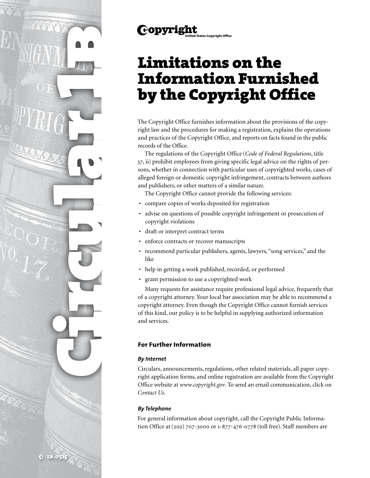

The Copyright Office furnishes information about the provisions of the copyright law and the procedures for making a registration, explains the operations and practices of the Copyright Office, and reports on facts found in the public records of the Office.

The regulations of the Copyright Office (*Code of Federal Regulations*, title 37, ii) prohibit employees from giving specific legal advice on the rights of persons, whether in connection with particular uses of copyrighted works, cases of alleged foreign or domestic copyright infringement, contracts between authors and publishers, or other matters of a similar nature.

The Copyright Office cannot provide the following services:

- compare copies of works deposited for registration
- advise on questions of possible copyright infringement or prosecution of copyright violations
- draft or interpret contract terms

**Copyright** 

- enforce contracts or recover manuscripts
- recommend particular publishers, agents, lawyers, "song services," and the like
- help in getting a work published, recorded, or performed
- grant permission to use a copyrighted work

Many requests for assistance require professional legal advice, frequently that of a copyright attorney. Your local bar association may be able to recommend a copyright attorney. Even though the Copyright Office cannot furnish services of this kind, our policy is to be helpful in supplying authorized information and services.

# **For Further Information**

# *By Internet*

Circulars, announcements, regulations, other related materials, all paper copyright application forms, and online registration are available from the Copyright Office website at *www.copyright.gov*. To send an email communication, click on *Contact Us*.

# *By Telephone*

For general information about copyright, call the Copyright Public Information Office at (202) 707-3000 or 1-877-476-0778 (toll free). Staff members are

Circular 1b